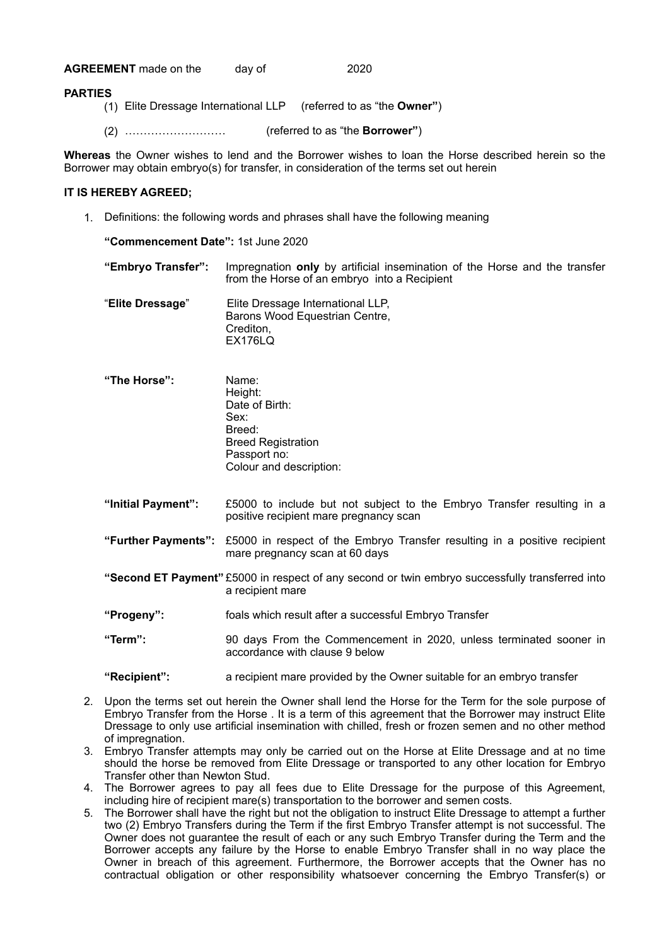**AGREEMENT** made on the day of 2020

## **PARTIES**

- (1) Elite Dressage International LLP (referred to as "the **Owner"**)
- (2) ……………………… (referred to as "the **Borrower"**)

**Whereas** the Owner wishes to lend and the Borrower wishes to loan the Horse described herein so the Borrower may obtain embryo(s) for transfer, in consideration of the terms set out herein

## **IT IS HEREBY AGREED;**

1. Definitions: the following words and phrases shall have the following meaning

**"Commencement Date":** 1st June 2020

**"Embryo Transfer":** Impregnation **only** by artificial insemination of the Horse and the transfer from the Horse of an embryo into a Recipient

| "Elite Dressage" | Elite Dressage International LLP,<br>Barons Wood Equestrian Centre, |
|------------------|---------------------------------------------------------------------|
|                  | Crediton.                                                           |
|                  | <b>EX176LQ</b>                                                      |

- **"The Horse":** Name: Height: Date of Birth: Sex: Breed: Breed Registration Passport no: Colour and description:
- **"Initial Payment":** £5000 to include but not subject to the Embryo Transfer resulting in a positive recipient mare pregnancy scan
- **"Further Payments":** £5000 in respect of the Embryo Transfer resulting in a positive recipient mare pregnancy scan at 60 days
- **"Second ET Payment"** £5000 in respect of any second or twin embryo successfully transferred into a recipient mare
- **"Progeny":** foals which result after a successful Embryo Transfer
- **"Term":** 90 days From the Commencement in 2020, unless terminated sooner in accordance with clause 9 below

**"Recipient":** a recipient mare provided by the Owner suitable for an embryo transfer

- 2. Upon the terms set out herein the Owner shall lend the Horse for the Term for the sole purpose of Embryo Transfer from the Horse . It is a term of this agreement that the Borrower may instruct Elite Dressage to only use artificial insemination with chilled, fresh or frozen semen and no other method of impregnation.
- 3. Embryo Transfer attempts may only be carried out on the Horse at Elite Dressage and at no time should the horse be removed from Elite Dressage or transported to any other location for Embryo Transfer other than Newton Stud.
- 4. The Borrower agrees to pay all fees due to Elite Dressage for the purpose of this Agreement, including hire of recipient mare(s) transportation to the borrower and semen costs.
- 5. The Borrower shall have the right but not the obligation to instruct Elite Dressage to attempt a further two (2) Embryo Transfers during the Term if the first Embryo Transfer attempt is not successful. The Owner does not guarantee the result of each or any such Embryo Transfer during the Term and the Borrower accepts any failure by the Horse to enable Embryo Transfer shall in no way place the Owner in breach of this agreement. Furthermore, the Borrower accepts that the Owner has no contractual obligation or other responsibility whatsoever concerning the Embryo Transfer(s) or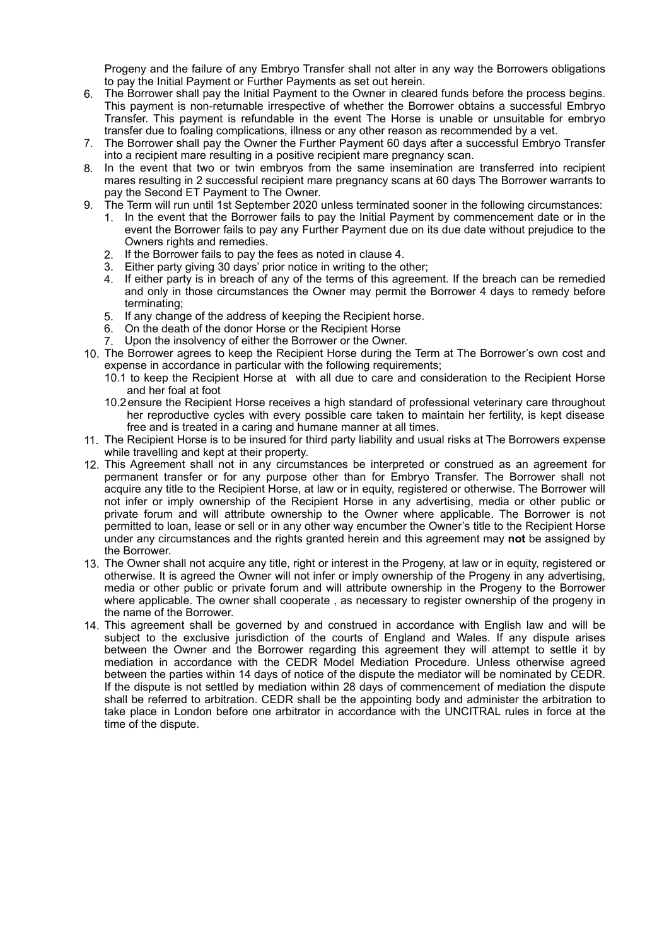Progeny and the failure of any Embryo Transfer shall not alter in any way the Borrowers obligations to pay the Initial Payment or Further Payments as set out herein.

- 6. The Borrower shall pay the Initial Payment to the Owner in cleared funds before the process begins. This payment is non-returnable irrespective of whether the Borrower obtains a successful Embryo Transfer. This payment is refundable in the event The Horse is unable or unsuitable for embryo transfer due to foaling complications, illness or any other reason as recommended by a vet.
- 7. The Borrower shall pay the Owner the Further Payment 60 days after a successful Embryo Transfer into a recipient mare resulting in a positive recipient mare pregnancy scan.
- 8. In the event that two or twin embryos from the same insemination are transferred into recipient mares resulting in 2 successful recipient mare pregnancy scans at 60 days The Borrower warrants to pay the Second ET Payment to The Owner.
- 9. The Term will run until 1st September 2020 unless terminated sooner in the following circumstances:
	- 1. In the event that the Borrower fails to pay the Initial Payment by commencement date or in the event the Borrower fails to pay any Further Payment due on its due date without prejudice to the Owners rights and remedies.
	- 2. If the Borrower fails to pay the fees as noted in clause 4.
	- 3. Either party giving 30 days' prior notice in writing to the other;
	- 4. If either party is in breach of any of the terms of this agreement. If the breach can be remedied and only in those circumstances the Owner may permit the Borrower 4 days to remedy before terminating;
	- 5. If any change of the address of keeping the Recipient horse.
	- 6. On the death of the donor Horse or the Recipient Horse
	- 7. Upon the insolvency of either the Borrower or the Owner.
- 10. The Borrower agrees to keep the Recipient Horse during the Term at The Borrower's own cost and expense in accordance in particular with the following requirements:
	- 10.1 to keep the Recipient Horse at with all due to care and consideration to the Recipient Horse and her foal at foot
	- 10.2 ensure the Recipient Horse receives a high standard of professional veterinary care throughout her reproductive cycles with every possible care taken to maintain her fertility, is kept disease free and is treated in a caring and humane manner at all times.
- 11. The Recipient Horse is to be insured for third party liability and usual risks at The Borrowers expense while travelling and kept at their property.
- 12. This Agreement shall not in any circumstances be interpreted or construed as an agreement for permanent transfer or for any purpose other than for Embryo Transfer. The Borrower shall not acquire any title to the Recipient Horse, at law or in equity, registered or otherwise. The Borrower will not infer or imply ownership of the Recipient Horse in any advertising, media or other public or private forum and will attribute ownership to the Owner where applicable. The Borrower is not permitted to loan, lease or sell or in any other way encumber the Owner's title to the Recipient Horse under any circumstances and the rights granted herein and this agreement may **not** be assigned by the Borrower.
- 13. The Owner shall not acquire any title, right or interest in the Progeny, at law or in equity, registered or otherwise. It is agreed the Owner will not infer or imply ownership of the Progeny in any advertising, media or other public or private forum and will attribute ownership in the Progeny to the Borrower where applicable. The owner shall cooperate , as necessary to register ownership of the progeny in the name of the Borrower.
- 14. This agreement shall be governed by and construed in accordance with English law and will be subject to the exclusive jurisdiction of the courts of England and Wales. If any dispute arises between the Owner and the Borrower regarding this agreement they will attempt to settle it by mediation in accordance with the CEDR Model Mediation Procedure. Unless otherwise agreed between the parties within 14 days of notice of the dispute the mediator will be nominated by CEDR. If the dispute is not settled by mediation within 28 days of commencement of mediation the dispute shall be referred to arbitration. CEDR shall be the appointing body and administer the arbitration to take place in London before one arbitrator in accordance with the UNCITRAL rules in force at the time of the dispute.